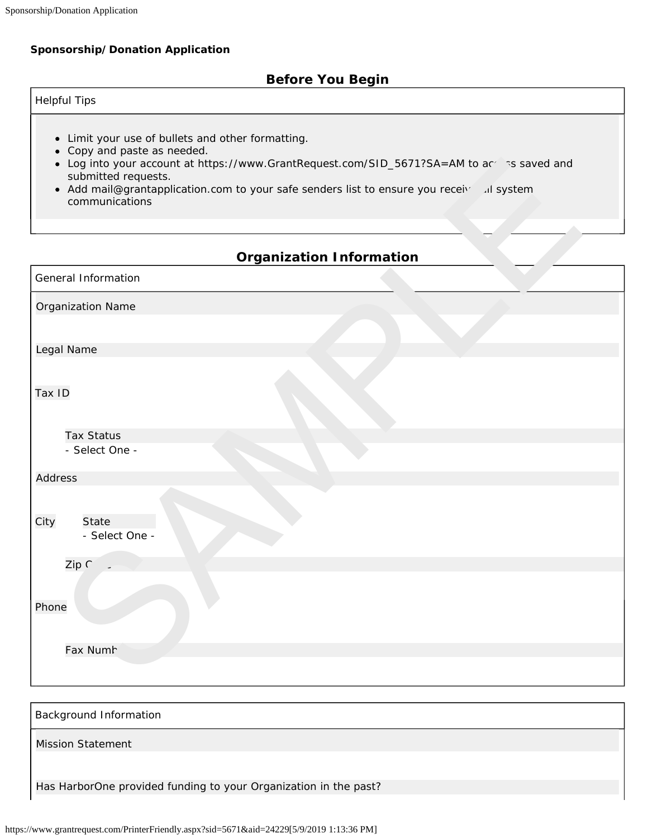# **Sponsorship/Donation Application**

# **Before You Begin**

| Helpful Tips |  |  |
|--------------|--|--|

- Limit your use of bullets and other formatting.
- Copy and paste as needed.
- Log into your account at https://www.GrantRequest.com/SID\_5671?SA=AM to access saved and submitted requests.
- Add mail@grantapplication.com to your safe senders list to ensure you receive all system communications

# **Organization Information**

| • Log into your account at https://www.GrantRequest.com/SID_5671?SA=AM to accosts saved and<br>submitted requests.<br>• Add mail@grantapplication.com to your safe senders list to ensure you receiving if system<br>communications |  |
|-------------------------------------------------------------------------------------------------------------------------------------------------------------------------------------------------------------------------------------|--|
|                                                                                                                                                                                                                                     |  |
| <b>Organization Information</b>                                                                                                                                                                                                     |  |
| General Information                                                                                                                                                                                                                 |  |
| Organization Name                                                                                                                                                                                                                   |  |
|                                                                                                                                                                                                                                     |  |
| Legal Name                                                                                                                                                                                                                          |  |
| Tax ID                                                                                                                                                                                                                              |  |
| <b>Tax Status</b>                                                                                                                                                                                                                   |  |
| - Select One -                                                                                                                                                                                                                      |  |
| Address                                                                                                                                                                                                                             |  |
| City<br>State<br>- Select One -                                                                                                                                                                                                     |  |
| Zip C                                                                                                                                                                                                                               |  |
| Phone                                                                                                                                                                                                                               |  |
| Fax Numh                                                                                                                                                                                                                            |  |
|                                                                                                                                                                                                                                     |  |

| Background Information                                           |
|------------------------------------------------------------------|
| <b>Mission Statement</b>                                         |
|                                                                  |
| Has HarborOne provided funding to your Organization in the past? |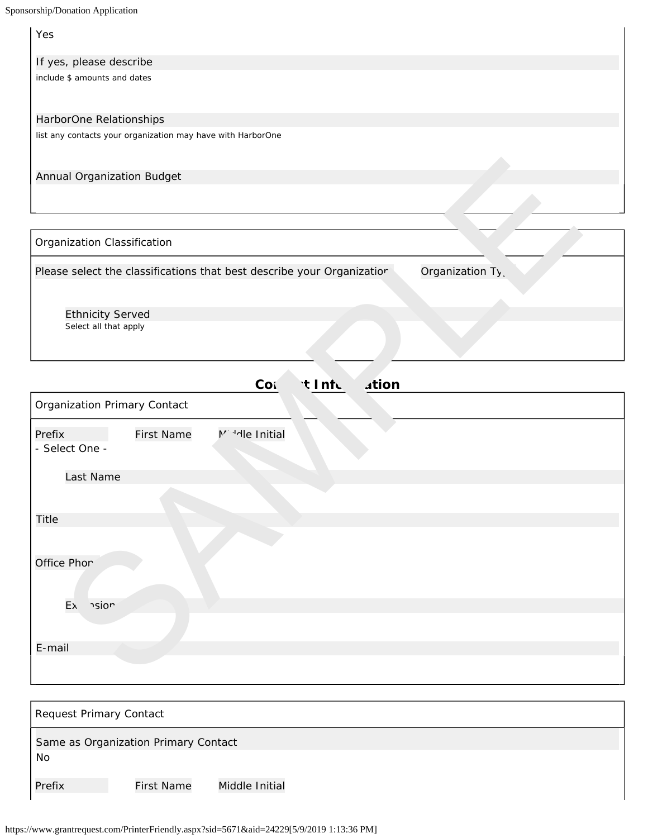| orship/Donation Application                                                                |
|--------------------------------------------------------------------------------------------|
| Yes                                                                                        |
| If yes, please describe                                                                    |
| include \$ amounts and dates                                                               |
| HarborOne Relationships                                                                    |
| list any contacts your organization may have with HarborOne                                |
| Annual Organization Budget                                                                 |
|                                                                                            |
|                                                                                            |
| Organization Classification                                                                |
| Organization Ty,<br>Please select the classifications that best describe your Organizatior |
| <b>Ethnicity Served</b>                                                                    |
| Select all that apply                                                                      |
|                                                                                            |
| <b>Ation</b><br>Cor<br>t Info                                                              |
| Organization Primary Contact                                                               |
| Prefix<br><b>First Name</b><br>M <sup>3</sup> He Initial                                   |
| - Select One -                                                                             |
| Last Name                                                                                  |
|                                                                                            |
| <b>Title</b>                                                                               |
|                                                                                            |
| Office Phor                                                                                |
|                                                                                            |
| hsion<br>Ex                                                                                |
|                                                                                            |
| E-mail                                                                                     |
|                                                                                            |

| Request Primary Contact |                                      |                |  |  |
|-------------------------|--------------------------------------|----------------|--|--|
| No                      | Same as Organization Primary Contact |                |  |  |
| Prefix                  | <b>First Name</b>                    | Middle Initial |  |  |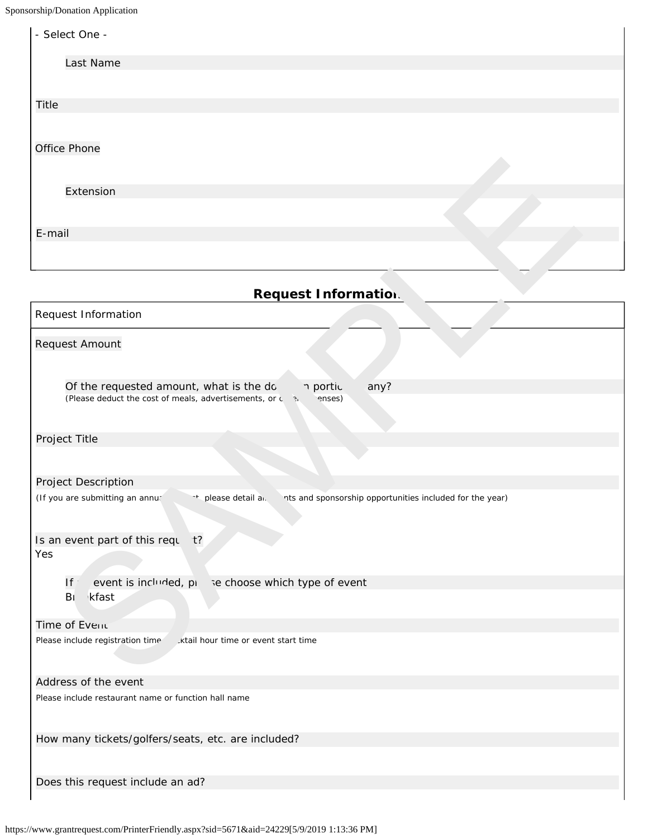Sponsorship/Donation Application

| - Select One - |  |
|----------------|--|
| Last Name      |  |
|                |  |
| <b>Title</b>   |  |
|                |  |
| Office Phone   |  |
|                |  |
| Extension      |  |
|                |  |
| E-mail         |  |
|                |  |
|                |  |

# **Request Information**

| Extension                                                                                                                          |
|------------------------------------------------------------------------------------------------------------------------------------|
|                                                                                                                                    |
| E-mail                                                                                                                             |
|                                                                                                                                    |
| <b>Request Information.</b>                                                                                                        |
| Request Information                                                                                                                |
| Request Amount                                                                                                                     |
| any?<br>Of the requested amount, what is the do<br>n portic<br>(Please deduct the cost of meals, advertisements, or c 3.<br>enses) |
| Project Title                                                                                                                      |
| Project Description                                                                                                                |
| (If you are submitting an annur<br>** please detail al.<br>nts and sponsorship opportunities included for the year)                |
| Is an event part of this requ<br>$t$ ?<br>Yes                                                                                      |
| event is included, pi<br>se choose which type of event<br>If                                                                       |
| Br<br>kfast                                                                                                                        |
| Time of Event                                                                                                                      |
| Please include registration time<br>ktail hour time or event start time.                                                           |
| Address of the event                                                                                                               |
| Please include restaurant name or function hall name                                                                               |
| How many tickets/golfers/seats, etc. are included?                                                                                 |
| Does this request include an ad?                                                                                                   |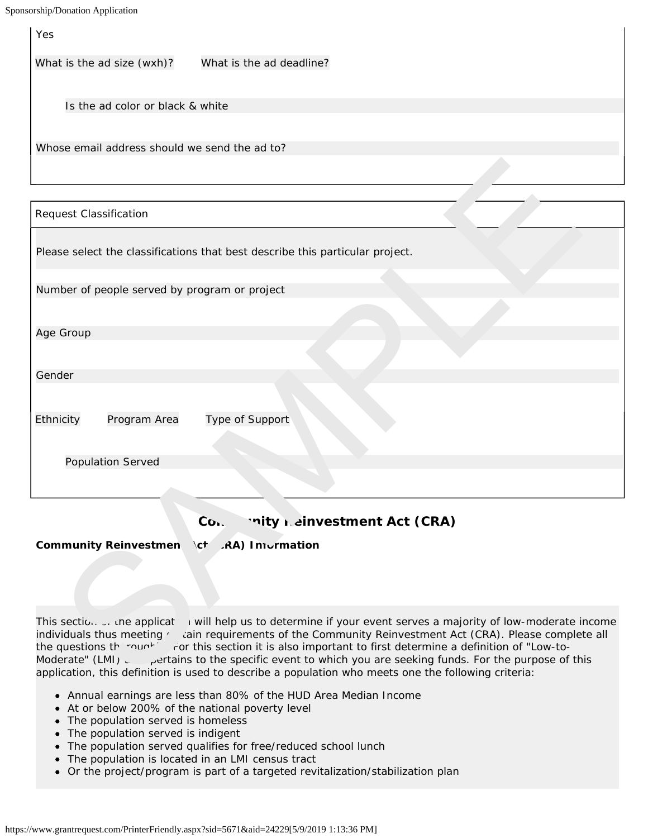Yes

What is the ad size (wxh)? What is the ad deadline?

Is the ad color or black & white

Whose email address should we send the ad to?

|  |  |  |  | Please select the classifications that best describe this particular project. |  |
|--|--|--|--|-------------------------------------------------------------------------------|--|
|  |  |  |  |                                                                               |  |

|--|

Age Group

Gender

Ethnicity Program Area Type of Support

Request Classification

Population Served

## Con. **This Reinvestment Act (CRA)**

Community Reinvestmen \ct (RA) Information

This section on the applicat in will help us to determine if your event serves a majority of low-moderate income individuals thus meeting certain requirements of the Community Reinvestment Act (CRA). Please complete all the questions the roughly is rot this section it is also important to first determine a definition of "Low-to-Moderate" (LMI) ettains to the specific event to which you are seeking funds. For the purpose of this application, this definition is used to describe a population who meets one the following criteria: Leader the classification<br>
Se solect the classifications that best describe this particular project.<br>
Second the classifications that best describe this particular project.<br>
Second<br>
Second Second Second Content of the con

- Annual earnings are less than 80% of the HUD Area Median Income
- At or below 200% of the national poverty level
- The population served is homeless
- The population served is indigent
- The population served qualifies for free/reduced school lunch
- The population is located in an LMI census tract
- Or the project/program is part of a targeted revitalization/stabilization plan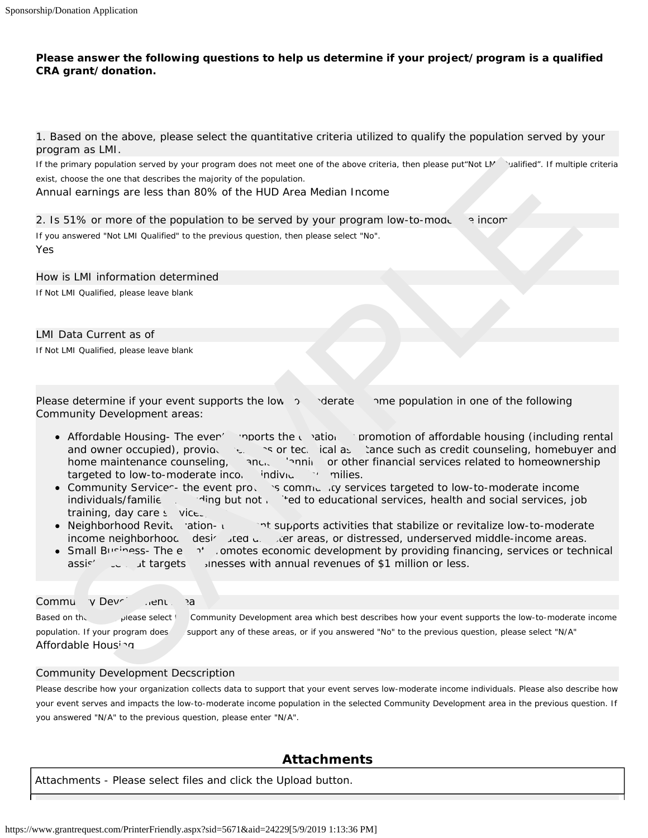#### **Please answer the following questions to help us determine if your project/program is a qualified CRA grant/donation.**

1. Based on the above, please select the quantitative criteria utilized to qualify the population served by your program as LMI.

If the primary population served by your program does not meet one of the above criteria, then please put"Not LM valified". If multiple criteria exist, choose the one that describes the majority of the population.

Annual earnings are less than 80% of the HUD Area Median Income

2. Is 51% or more of the population to be served by your program low-to-moderation income?

If you answered "Not LMI Qualified" to the previous question, then please select "No". Yes

How is LMI information determined If Not LMI Qualified, please leave blank

#### LMI Data Current as of

If Not LMI Qualified, please leave blank

Please determine if your event supports the low- $\infty$  derate in the population in one of the following Community Development areas:

- Affordable Housing- The even<sup>ther</sup> promots the creation of promotion of affordable housing (including rental and owner occupied), provides services services services values tance such as credit counseling, homebuyer and home maintenance counseling, and, final planning or other financial services related to homeownership targeted to low-to-moderate income individual in milies. primary population accredity your program data meat meat the attack of the proportion. Then places put/Not UV colified. If multipled and more than the multipled of the population to be served by your program low-to-mode.
- Community Services- the event provides community services targeted to low-to-moderate income individuals/familie  $\frac{1}{\sqrt{2}}$  ing but not limited to educational services, health and social services, job training, day care  $s$  vice.
- Neighborhood Revitation- the event supports activities that stabilize or revitalize low-to-moderate income neighborhood designated disagreed, or distressed, underserved middle-income areas.
- Small Business- The event promotes economic development by providing financing, services or technical assis<sup>2</sup> **businesses with annual revenues of \$1 million or less.**

#### Communiv Devri Juent Area

Based on the please select the Community Development area which best describes how your event supports the low-to-moderate income population. If your program does support any of these areas, or if you answered "No" to the previous question, please select "N/A" Affordable Housing

## Community Development Decscription

Please describe how your organization collects data to support that your event serves low-moderate income individuals. Please also describe how your event serves and impacts the low-to-moderate income population in the selected Community Development area in the previous question. If you answered "N/A" to the previous question, please enter "N/A".

## **Attachments**

Attachments - Please select files and click the Upload button.